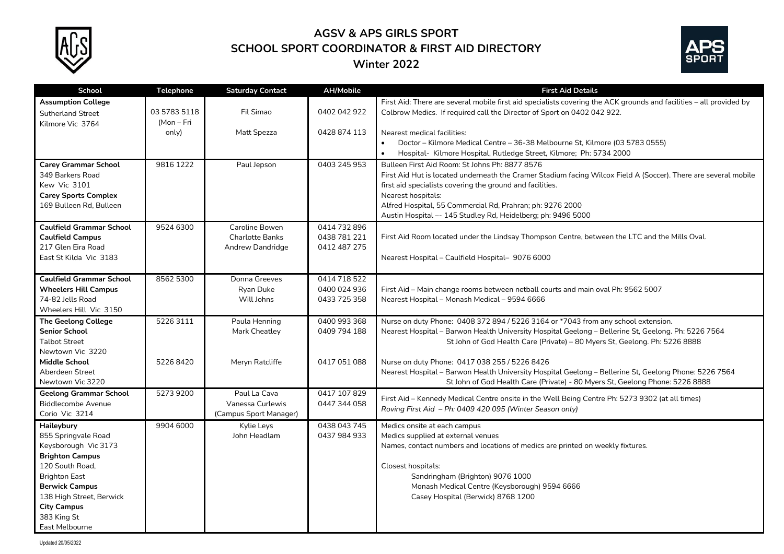

## **AGSV & APS GIRLS SPORT SCHOOL SPORT COORDINATOR & FIRST AID DIRECTORY Winter 2022**



| School                          | <b>Telephone</b>           | <b>Saturday Contact</b> | <b>AH/Mobile</b> | <b>First Aid Details</b>                                                                                            |
|---------------------------------|----------------------------|-------------------------|------------------|---------------------------------------------------------------------------------------------------------------------|
| <b>Assumption College</b>       |                            |                         |                  | First Aid: There are several mobile first aid specialists covering the ACK grounds and facilities - all provided by |
| <b>Sutherland Street</b>        | 03 5783 5118<br>(Mon – Fri | Fil Simao               | 0402 042 922     | Colbrow Medics. If required call the Director of Sport on 0402 042 922.                                             |
| Kilmore Vic 3764                | only)                      | Matt Spezza             | 0428 874 113     | Nearest medical facilities:                                                                                         |
|                                 |                            |                         |                  | Doctor - Kilmore Medical Centre - 36-38 Melbourne St, Kilmore (03 5783 0555)<br>$\bullet$                           |
|                                 |                            |                         |                  | Hospital- Kilmore Hospital, Rutledge Street, Kilmore; Ph: 5734 2000                                                 |
| <b>Carey Grammar School</b>     | 9816 1222                  | Paul Jepson             | 0403 245 953     | Bulleen First Aid Room: St Johns Ph: 8877 8576                                                                      |
| 349 Barkers Road                |                            |                         |                  | First Aid Hut is located underneath the Cramer Stadium facing Wilcox Field A (Soccer). There are several mobile     |
| Kew Vic 3101                    |                            |                         |                  | first aid specialists covering the ground and facilities.                                                           |
| <b>Carey Sports Complex</b>     |                            |                         |                  | Nearest hospitals:                                                                                                  |
| 169 Bulleen Rd. Bulleen         |                            |                         |                  | Alfred Hospital, 55 Commercial Rd, Prahran; ph: 9276 2000                                                           |
|                                 |                            |                         |                  | Austin Hospital -- 145 Studley Rd, Heidelberg; ph: 9496 5000                                                        |
| <b>Caulfield Grammar School</b> | 9524 6300                  | Caroline Bowen          | 0414 732 896     |                                                                                                                     |
| <b>Caulfield Campus</b>         |                            | <b>Charlotte Banks</b>  | 0438 781 221     | First Aid Room located under the Lindsay Thompson Centre, between the LTC and the Mills Oval.                       |
| 217 Glen Eira Road              |                            | Andrew Dandridge        | 0412 487 275     |                                                                                                                     |
| East St Kilda Vic 3183          |                            |                         |                  | Nearest Hospital - Caulfield Hospital- 9076 6000                                                                    |
|                                 |                            |                         |                  |                                                                                                                     |
| <b>Caulfield Grammar School</b> | 8562 5300                  | Donna Greeves           | 0414 718 522     |                                                                                                                     |
| <b>Wheelers Hill Campus</b>     |                            | Ryan Duke               | 0400 024 936     | First Aid - Main change rooms between netball courts and main oval Ph: 9562 5007                                    |
| 74-82 Jells Road                |                            | Will Johns              | 0433 725 358     | Nearest Hospital - Monash Medical - 9594 6666                                                                       |
| Wheelers Hill Vic 3150          |                            |                         |                  |                                                                                                                     |
| <b>The Geelong College</b>      | 52263111                   | Paula Henning           | 0400 993 368     | Nurse on duty Phone: 0408 372 894 / 5226 3164 or *7043 from any school extension.                                   |
| <b>Senior School</b>            |                            | Mark Cheatley           | 0409 794 188     | Nearest Hospital - Barwon Health University Hospital Geelong - Bellerine St, Geelong. Ph: 5226 7564                 |
| <b>Talbot Street</b>            |                            |                         |                  | St John of God Health Care (Private) - 80 Myers St, Geelong. Ph: 5226 8888                                          |
| Newtown Vic 3220                |                            |                         |                  |                                                                                                                     |
| <b>Middle School</b>            | 52268420                   | Meryn Ratcliffe         | 0417 051 088     | Nurse on duty Phone: 0417 038 255 / 5226 8426                                                                       |
| Aberdeen Street                 |                            |                         |                  | Nearest Hospital - Barwon Health University Hospital Geelong - Bellerine St, Geelong Phone: 5226 7564               |
| Newtown Vic 3220                |                            |                         |                  | St John of God Health Care (Private) - 80 Myers St, Geelong Phone: 5226 8888                                        |
| <b>Geelong Grammar School</b>   | 5273 9200                  | Paul La Cava            | 0417 107 829     | First Aid - Kennedy Medical Centre onsite in the Well Being Centre Ph: 5273 9302 (at all times)                     |
| <b>Biddlecombe Avenue</b>       |                            | Vanessa Curlewis        | 0447 344 058     | Roving First Aid - Ph: 0409 420 095 (Winter Season only)                                                            |
| Corio Vic 3214                  |                            | (Campus Sport Manager)  |                  |                                                                                                                     |
| Haileybury                      | 9904 6000                  | Kylie Leys              | 0438 043 745     | Medics onsite at each campus                                                                                        |
| 855 Springvale Road             |                            | John Headlam            | 0437 984 933     | Medics supplied at external venues                                                                                  |
| Keysborough Vic 3173            |                            |                         |                  | Names, contact numbers and locations of medics are printed on weekly fixtures.                                      |
| <b>Brighton Campus</b>          |                            |                         |                  |                                                                                                                     |
| 120 South Road,                 |                            |                         |                  | Closest hospitals:                                                                                                  |
| <b>Brighton East</b>            |                            |                         |                  | Sandringham (Brighton) 9076 1000                                                                                    |
| <b>Berwick Campus</b>           |                            |                         |                  | Monash Medical Centre (Keysborough) 9594 6666                                                                       |
| 138 High Street, Berwick        |                            |                         |                  | Casey Hospital (Berwick) 8768 1200                                                                                  |
| <b>City Campus</b>              |                            |                         |                  |                                                                                                                     |
| 383 King St                     |                            |                         |                  |                                                                                                                     |
| East Melbourne                  |                            |                         |                  |                                                                                                                     |